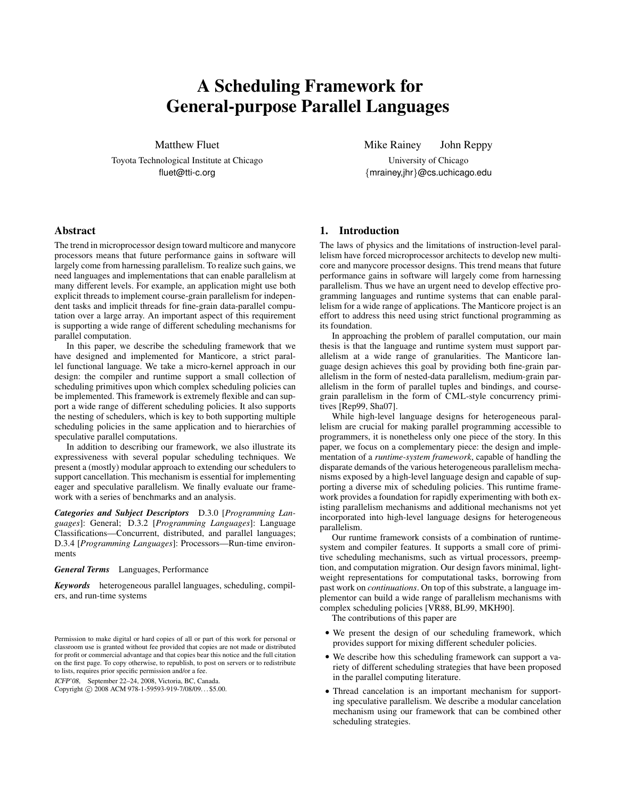# A Scheduling Framework for General-purpose Parallel Languages

Matthew Fluet

Toyota Technological Institute at Chicago fluet@tti-c.org

Mike Rainey John Reppy

University of Chicago {mrainey,jhr}@cs.uchicago.edu

# Abstract

The trend in microprocessor design toward multicore and manycore processors means that future performance gains in software will largely come from harnessing parallelism. To realize such gains, we need languages and implementations that can enable parallelism at many different levels. For example, an application might use both explicit threads to implement course-grain parallelism for independent tasks and implicit threads for fine-grain data-parallel computation over a large array. An important aspect of this requirement is supporting a wide range of different scheduling mechanisms for parallel computation.

In this paper, we describe the scheduling framework that we have designed and implemented for Manticore, a strict parallel functional language. We take a micro-kernel approach in our design: the compiler and runtime support a small collection of scheduling primitives upon which complex scheduling policies can be implemented. This framework is extremely flexible and can support a wide range of different scheduling policies. It also supports the nesting of schedulers, which is key to both supporting multiple scheduling policies in the same application and to hierarchies of speculative parallel computations.

In addition to describing our framework, we also illustrate its expressiveness with several popular scheduling techniques. We present a (mostly) modular approach to extending our schedulers to support cancellation. This mechanism is essential for implementing eager and speculative parallelism. We finally evaluate our framework with a series of benchmarks and an analysis.

*Categories and Subject Descriptors* D.3.0 [*Programming Languages*]: General; D.3.2 [*Programming Languages*]: Language Classifications—Concurrent, distributed, and parallel languages; D.3.4 [*Programming Languages*]: Processors—Run-time environments

# *General Terms* Languages, Performance

*Keywords* heterogeneous parallel languages, scheduling, compilers, and run-time systems

ICFP'08, September 22–24, 2008, Victoria, BC, Canada.

# 1. Introduction

The laws of physics and the limitations of instruction-level parallelism have forced microprocessor architects to develop new multicore and manycore processor designs. This trend means that future performance gains in software will largely come from harnessing parallelism. Thus we have an urgent need to develop effective programming languages and runtime systems that can enable parallelism for a wide range of applications. The Manticore project is an effort to address this need using strict functional programming as its foundation.

In approaching the problem of parallel computation, our main thesis is that the language and runtime system must support parallelism at a wide range of granularities. The Manticore language design achieves this goal by providing both fine-grain parallelism in the form of nested-data parallelism, medium-grain parallelism in the form of parallel tuples and bindings, and coursegrain parallelism in the form of CML-style concurrency primitives [Rep99, Sha07].

While high-level language designs for heterogeneous parallelism are crucial for making parallel programming accessible to programmers, it is nonetheless only one piece of the story. In this paper, we focus on a complementary piece: the design and implementation of a *runtime-system framework*, capable of handling the disparate demands of the various heterogeneous parallelism mechanisms exposed by a high-level language design and capable of supporting a diverse mix of scheduling policies. This runtime framework provides a foundation for rapidly experimenting with both existing parallelism mechanisms and additional mechanisms not yet incorporated into high-level language designs for heterogeneous parallelism.

Our runtime framework consists of a combination of runtimesystem and compiler features. It supports a small core of primitive scheduling mechanisms, such as virtual processors, preemption, and computation migration. Our design favors minimal, lightweight representations for computational tasks, borrowing from past work on *continuations*. On top of this substrate, a language implementor can build a wide range of parallelism mechanisms with complex scheduling policies [VR88, BL99, MKH90].

The contributions of this paper are

- We present the design of our scheduling framework, which provides support for mixing different scheduler policies.
- We describe how this scheduling framework can support a variety of different scheduling strategies that have been proposed in the parallel computing literature.
- Thread cancelation is an important mechanism for supporting speculative parallelism. We describe a modular cancelation mechanism using our framework that can be combined other scheduling strategies.

Permission to make digital or hard copies of all or part of this work for personal or classroom use is granted without fee provided that copies are not made or distributed for profit or commercial advantage and that copies bear this notice and the full citation on the first page. To copy otherwise, to republish, to post on servers or to redistribute to lists, requires prior specific permission and/or a fee.

Copyright © 2008 ACM 978-1-59593-919-7/08/09... \$5.00.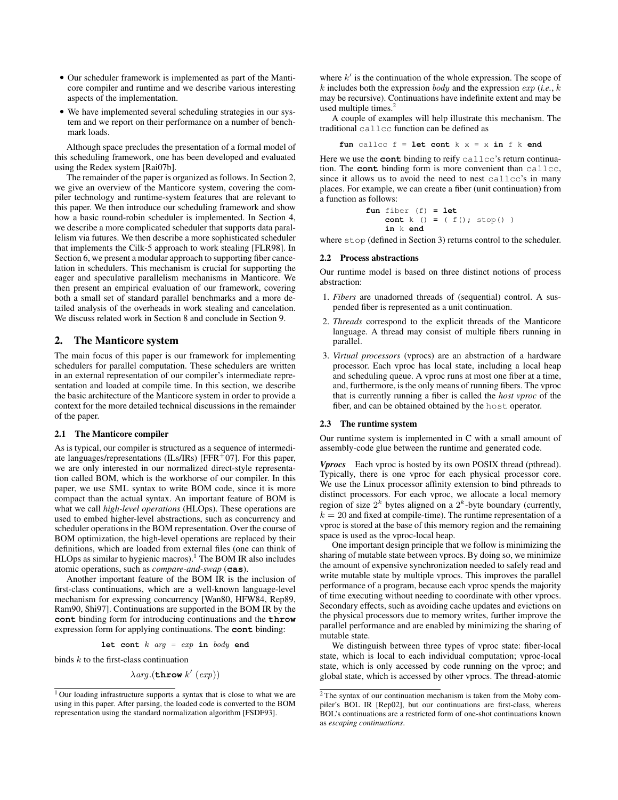- Our scheduler framework is implemented as part of the Manticore compiler and runtime and we describe various interesting aspects of the implementation.
- We have implemented several scheduling strategies in our system and we report on their performance on a number of benchmark loads.

Although space precludes the presentation of a formal model of this scheduling framework, one has been developed and evaluated using the Redex system [Rai07b].

The remainder of the paper is organized as follows. In Section 2, we give an overview of the Manticore system, covering the compiler technology and runtime-system features that are relevant to this paper. We then introduce our scheduling framework and show how a basic round-robin scheduler is implemented. In Section 4, we describe a more complicated scheduler that supports data parallelism via futures. We then describe a more sophisticated scheduler that implements the Cilk-5 approach to work stealing [FLR98]. In Section 6, we present a modular approach to supporting fiber cancelation in schedulers. This mechanism is crucial for supporting the eager and speculative parallelism mechanisms in Manticore. We then present an empirical evaluation of our framework, covering both a small set of standard parallel benchmarks and a more detailed analysis of the overheads in work stealing and cancelation. We discuss related work in Section 8 and conclude in Section 9.

# 2. The Manticore system

The main focus of this paper is our framework for implementing schedulers for parallel computation. These schedulers are written in an external representation of our compiler's intermediate representation and loaded at compile time. In this section, we describe the basic architecture of the Manticore system in order to provide a context for the more detailed technical discussions in the remainder of the paper.

### 2.1 The Manticore compiler

As is typical, our compiler is structured as a sequence of intermediate languages/representations (ILs/IRs) [FFR $+07$ ]. For this paper, we are only interested in our normalized direct-style representation called BOM, which is the workhorse of our compiler. In this paper, we use SML syntax to write BOM code, since it is more compact than the actual syntax. An important feature of BOM is what we call *high-level operations* (HLOps). These operations are used to embed higher-level abstractions, such as concurrency and scheduler operations in the BOM representation. Over the course of BOM optimization, the high-level operations are replaced by their definitions, which are loaded from external files (one can think of HLOps as similar to hygienic macros).<sup>1</sup> The BOM IR also includes atomic operations, such as *compare-and-swap* (**cas**).

Another important feature of the BOM IR is the inclusion of first-class continuations, which are a well-known language-level mechanism for expressing concurrency [Wan80, HFW84, Rep89, Ram90, Shi97]. Continuations are supported in the BOM IR by the **cont** binding form for introducing continuations and the **throw** expression form for applying continuations. The **cont** binding:

**let** cont  $k$  arg = exp in body end

binds  $k$  to the first-class continuation

$$
\lambda \arg.(\text{throw } k' \ (exp))
$$

where  $k'$  is the continuation of the whole expression. The scope of k includes both the expression *body* and the expression  $exp(i.e., k)$ may be recursive). Continuations have indefinite extent and may be used multiple times. $2$ 

A couple of examples will help illustrate this mechanism. The traditional callcc function can be defined as

**fun** callcc f = **let cont** k x = x **in** f k **end**

Here we use the **cont** binding to reify callcc's return continuation. The **cont** binding form is more convenient than callcc, since it allows us to avoid the need to nest callcc's in many places. For example, we can create a fiber (unit continuation) from a function as follows:

> **fun** fiber (f) **= let cont** k () **=** ( f(); stop() ) **in** k **end**

where  $stop$  (defined in Section 3) returns control to the scheduler.

#### 2.2 Process abstractions

Our runtime model is based on three distinct notions of process abstraction:

- 1. *Fibers* are unadorned threads of (sequential) control. A suspended fiber is represented as a unit continuation.
- 2. *Threads* correspond to the explicit threads of the Manticore language. A thread may consist of multiple fibers running in parallel.
- 3. *Virtual processors* (vprocs) are an abstraction of a hardware processor. Each vproc has local state, including a local heap and scheduling queue. A vproc runs at most one fiber at a time, and, furthermore, is the only means of running fibers. The vproc that is currently running a fiber is called the *host vproc* of the fiber, and can be obtained obtained by the host operator.

### 2.3 The runtime system

Our runtime system is implemented in C with a small amount of assembly-code glue between the runtime and generated code.

*Vprocs* Each vproc is hosted by its own POSIX thread (pthread). Typically, there is one vproc for each physical processor core. We use the Linux processor affinity extension to bind pthreads to distinct processors. For each vproc, we allocate a local memory region of size  $2^k$  bytes aligned on a  $2^k$ -byte boundary (currently,  $k = 20$  and fixed at compile-time). The runtime representation of a vproc is stored at the base of this memory region and the remaining space is used as the vproc-local heap.

One important design principle that we follow is minimizing the sharing of mutable state between vprocs. By doing so, we minimize the amount of expensive synchronization needed to safely read and write mutable state by multiple vprocs. This improves the parallel performance of a program, because each vproc spends the majority of time executing without needing to coordinate with other vprocs. Secondary effects, such as avoiding cache updates and evictions on the physical processors due to memory writes, further improve the parallel performance and are enabled by minimizing the sharing of mutable state.

We distinguish between three types of vproc state: fiber-local state, which is local to each individual computation; vproc-local state, which is only accessed by code running on the vproc; and global state, which is accessed by other vprocs. The thread-atomic

<sup>1</sup> Our loading infrastructure supports a syntax that is close to what we are using in this paper. After parsing, the loaded code is converted to the BOM representation using the standard normalization algorithm [FSDF93].

<sup>2</sup> The syntax of our continuation mechanism is taken from the Moby compiler's BOL IR [Rep02], but our continuations are first-class, whereas BOL's continuations are a restricted form of one-shot continuations known as *escaping continuations*.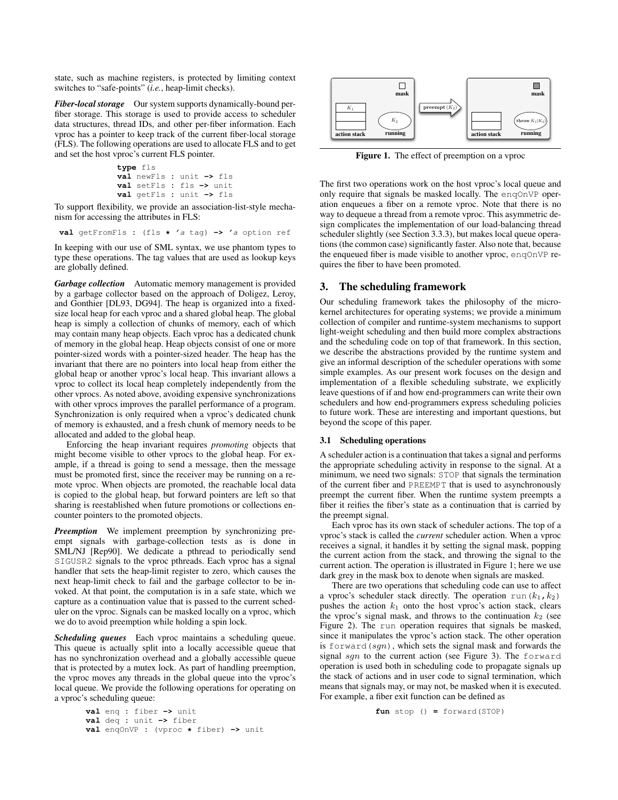state, such as machine registers, is protected by limiting context switches to "safe-points" (*i.e.*, heap-limit checks).

*Fiber-local storage* Our system supports dynamically-bound perfiber storage. This storage is used to provide access to scheduler data structures, thread IDs, and other per-fiber information. Each vproc has a pointer to keep track of the current fiber-local storage (FLS). The following operations are used to allocate FLS and to get and set the host vproc's current FLS pointer.

```
type fls
val newFls : unit -> fls
val setFls : fls -> unit
val getFls : unit -> fls
```
To support flexibility, we provide an association-list-style mechanism for accessing the attributes in FLS:

**val** getFromFls **:** (fls **\*** 'a tag) **->** 'a option ref

In keeping with our use of SML syntax, we use phantom types to type these operations. The tag values that are used as lookup keys are globally defined.

*Garbage collection* Automatic memory management is provided by a garbage collector based on the approach of Doligez, Leroy, and Gonthier [DL93, DG94]. The heap is organized into a fixedsize local heap for each vproc and a shared global heap. The global heap is simply a collection of chunks of memory, each of which may contain many heap objects. Each vproc has a dedicated chunk of memory in the global heap. Heap objects consist of one or more pointer-sized words with a pointer-sized header. The heap has the invariant that there are no pointers into local heap from either the global heap or another vproc's local heap. This invariant allows a vproc to collect its local heap completely independently from the other vprocs. As noted above, avoiding expensive synchronizations with other vprocs improves the parallel performance of a program. Synchronization is only required when a vproc's dedicated chunk of memory is exhausted, and a fresh chunk of memory needs to be allocated and added to the global heap.

Enforcing the heap invariant requires *promoting* objects that might become visible to other vprocs to the global heap. For example, if a thread is going to send a message, then the message must be promoted first, since the receiver may be running on a remote vproc. When objects are promoted, the reachable local data is copied to the global heap, but forward pointers are left so that sharing is reestablished when future promotions or collections encounter pointers to the promoted objects.

*Preemption* We implement preemption by synchronizing preempt signals with garbage-collection tests as is done in SML/NJ [Rep90]. We dedicate a pthread to periodically send SIGUSR2 signals to the vproc pthreads. Each vproc has a signal handler that sets the heap-limit register to zero, which causes the next heap-limit check to fail and the garbage collector to be invoked. At that point, the computation is in a safe state, which we capture as a continuation value that is passed to the current scheduler on the vproc. Signals can be masked locally on a vproc, which we do to avoid preemption while holding a spin lock.

*Scheduling queues* Each vproc maintains a scheduling queue. This queue is actually split into a locally accessible queue that has no synchronization overhead and a globally accessible queue that is protected by a mutex lock. As part of handling preemption, the vproc moves any threads in the global queue into the vproc's local queue. We provide the following operations for operating on a vproc's scheduling queue:

```
val enq : fiber -> unit
val deq : unit -> fiber
val enqOnVP : (vproc * fiber) -> unit
```


Figure 1. The effect of preemption on a vproc

The first two operations work on the host vproc's local queue and only require that signals be masked locally. The enqOnVP operation enqueues a fiber on a remote vproc. Note that there is no way to dequeue a thread from a remote vproc. This asymmetric design complicates the implementation of our load-balancing thread scheduler slightly (see Section 3.3.3), but makes local queue operations (the common case) significantly faster. Also note that, because the enqueued fiber is made visible to another vproc, enqOnVP requires the fiber to have been promoted.

# 3. The scheduling framework

Our scheduling framework takes the philosophy of the microkernel architectures for operating systems; we provide a minimum collection of compiler and runtime-system mechanisms to support light-weight scheduling and then build more complex abstractions and the scheduling code on top of that framework. In this section, we describe the abstractions provided by the runtime system and give an informal description of the scheduler operations with some simple examples. As our present work focuses on the design and implementation of a flexible scheduling substrate, we explicitly leave questions of if and how end-programmers can write their own schedulers and how end-programmers express scheduling policies to future work. These are interesting and important questions, but beyond the scope of this paper.

### 3.1 Scheduling operations

A scheduler action is a continuation that takes a signal and performs the appropriate scheduling activity in response to the signal. At a minimum, we need two signals: STOP that signals the termination of the current fiber and PREEMPT that is used to asynchronously preempt the current fiber. When the runtime system preempts a fiber it reifies the fiber's state as a continuation that is carried by the preempt signal.

Each vproc has its own stack of scheduler actions. The top of a vproc's stack is called the *current* scheduler action. When a vproc receives a signal, it handles it by setting the signal mask, popping the current action from the stack, and throwing the signal to the current action. The operation is illustrated in Figure 1; here we use dark grey in the mask box to denote when signals are masked.

There are two operations that scheduling code can use to affect a vproc's scheduler stack directly. The operation run( $k_1, k_2$ ) pushes the action  $k_1$  onto the host vproc's action stack, clears the vproc's signal mask, and throws to the continuation  $k_2$  (see Figure 2). The run operation requires that signals be masked, since it manipulates the vproc's action stack. The other operation is forward  $(sgn)$ , which sets the signal mask and forwards the signal sqn to the current action (see Figure 3). The forward operation is used both in scheduling code to propagate signals up the stack of actions and in user code to signal termination, which means that signals may, or may not, be masked when it is executed. For example, a fiber exit function can be defined as

```
fun stop () = forward(STOP)
```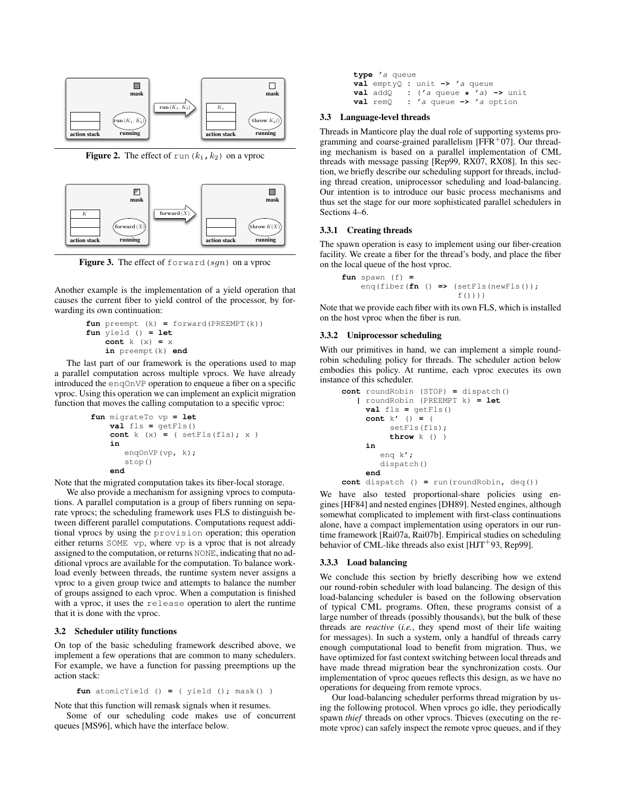

**Figure 2.** The effect of run  $(k_1, k_2)$  on a vproc



Figure 3. The effect of forward  $(sgn)$  on a vproc

Another example is the implementation of a yield operation that causes the current fiber to yield control of the processor, by forwarding its own continuation:

```
fun preempt (k) = forward(PREEMPT(k))
fun yield () = let
    cont k (x) = x
    in preempt(k) end
```
The last part of our framework is the operations used to map a parallel computation across multiple vprocs. We have already introduced the enqOnVP operation to enqueue a fiber on a specific vproc. Using this operation we can implement an explicit migration function that moves the calling computation to a specific vproc:

```
fun migrateTo vp = let
   val fls = getFls()
   cont k (x) = (setFls(fls); x)in
       enqOnVP(vp, k);
       stop()
   end
```
Note that the migrated computation takes its fiber-local storage.

We also provide a mechanism for assigning vprocs to computations. A parallel computation is a group of fibers running on separate vprocs; the scheduling framework uses FLS to distinguish between different parallel computations. Computations request additional vprocs by using the provision operation; this operation either returns SOME vp, where vp is a vproc that is not already assigned to the computation, or returns NONE, indicating that no additional vprocs are available for the computation. To balance workload evenly between threads, the runtime system never assigns a vproc to a given group twice and attempts to balance the number of groups assigned to each vproc. When a computation is finished with a vproc, it uses the release operation to alert the runtime that it is done with the vproc.

### 3.2 Scheduler utility functions

On top of the basic scheduling framework described above, we implement a few operations that are common to many schedulers. For example, we have a function for passing preemptions up the action stack:

**fun** atomicYield () **=** ( yield (); mask() )

Note that this function will remask signals when it resumes.

Some of our scheduling code makes use of concurrent queues [MS96], which have the interface below.

| type 'a queue |          |  |                                                             |  |  |  |  |  |  |  |  |
|---------------|----------|--|-------------------------------------------------------------|--|--|--|--|--|--|--|--|
|               |          |  | <b>val</b> emptyQ : unit $\rightarrow$ 'a queue             |  |  |  |  |  |  |  |  |
|               |          |  | <b>val</b> add $\circ$ : ('a queue * 'a) $\rightarrow$ unit |  |  |  |  |  |  |  |  |
|               | val remO |  | : 'a queue $\rightarrow$ 'a option                          |  |  |  |  |  |  |  |  |

### 3.3 Language-level threads

Threads in Manticore play the dual role of supporting systems programming and coarse-grained parallelism  $[FFR<sup>+</sup>07]$ . Our threading mechanism is based on a parallel implementation of CML threads with message passing [Rep99, RX07, RX08]. In this section, we briefly describe our scheduling support for threads, including thread creation, uniprocessor scheduling and load-balancing. Our intention is to introduce our basic process mechanisms and thus set the stage for our more sophisticated parallel schedulers in Sections 4–6.

### 3.3.1 Creating threads

The spawn operation is easy to implement using our fiber-creation facility. We create a fiber for the thread's body, and place the fiber on the local queue of the host vproc.

**fun** spawn (f) **=** enq(fiber(**fn** () **=>** (setFls(newFls());  $f()$ ))

Note that we provide each fiber with its own FLS, which is installed on the host vproc when the fiber is run.

### 3.3.2 Uniprocessor scheduling

With our primitives in hand, we can implement a simple roundrobin scheduling policy for threads. The scheduler action below embodies this policy. At runtime, each vproc executes its own instance of this scheduler.

```
cont roundRobin (STOP) = dispatch()
   | roundRobin (PREEMPT k) = let
     val fls = getFls()
     cont k' () = (
          setFls(fls);
          throw k () )
     in
        enq k';
        dispatch()
     end
cont dispatch () = run(roundRobin, deq())
```
We have also tested proportional-share policies using engines [HF84] and nested engines [DH89]. Nested engines, although somewhat complicated to implement with first-class continuations alone, have a compact implementation using operators in our runtime framework [Rai07a, Rai07b]. Empirical studies on scheduling behavior of CML-like threads also exist [HJT<sup>+</sup>93, Rep99].

#### 3.3.3 Load balancing

We conclude this section by briefly describing how we extend our round-robin scheduler with load balancing. The design of this load-balancing scheduler is based on the following observation of typical CML programs. Often, these programs consist of a large number of threads (possibly thousands), but the bulk of these threads are *reactive* (*i.e.*, they spend most of their life waiting for messages). In such a system, only a handful of threads carry enough computational load to benefit from migration. Thus, we have optimized for fast context switching between local threads and have made thread migration bear the synchronization costs. Our implementation of vproc queues reflects this design, as we have no operations for dequeing from remote vprocs.

Our load-balancing scheduler performs thread migration by using the following protocol. When vprocs go idle, they periodically spawn *thief* threads on other vprocs. Thieves (executing on the remote vproc) can safely inspect the remote vproc queues, and if they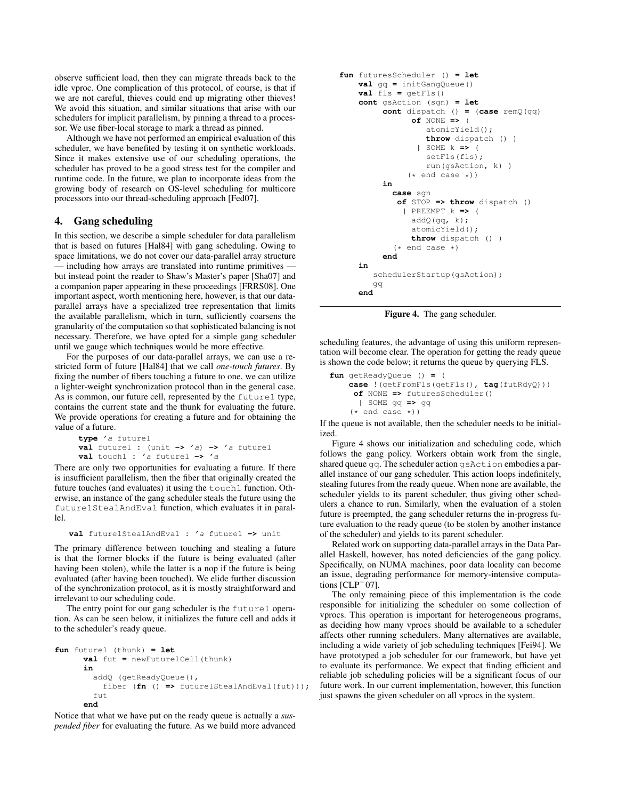observe sufficient load, then they can migrate threads back to the idle vproc. One complication of this protocol, of course, is that if we are not careful, thieves could end up migrating other thieves! We avoid this situation, and similar situations that arise with our schedulers for implicit parallelism, by pinning a thread to a processor. We use fiber-local storage to mark a thread as pinned.

Although we have not performed an empirical evaluation of this scheduler, we have benefited by testing it on synthetic workloads. Since it makes extensive use of our scheduling operations, the scheduler has proved to be a good stress test for the compiler and runtime code. In the future, we plan to incorporate ideas from the growing body of research on OS-level scheduling for multicore processors into our thread-scheduling approach [Fed07].

# 4. Gang scheduling

In this section, we describe a simple scheduler for data parallelism that is based on futures [Hal84] with gang scheduling. Owing to space limitations, we do not cover our data-parallel array structure — including how arrays are translated into runtime primitives but instead point the reader to Shaw's Master's paper [Sha07] and a companion paper appearing in these proceedings [FRRS08]. One important aspect, worth mentioning here, however, is that our dataparallel arrays have a specialized tree representation that limits the available parallelism, which in turn, sufficiently coarsens the granularity of the computation so that sophisticated balancing is not necessary. Therefore, we have opted for a simple gang scheduler until we gauge which techniques would be more effective.

For the purposes of our data-parallel arrays, we can use a restricted form of future [Hal84] that we call *one-touch futures*. By fixing the number of fibers touching a future to one, we can utilize a lighter-weight synchronization protocol than in the general case. As is common, our future cell, represented by the future1 type, contains the current state and the thunk for evaluating the future. We provide operations for creating a future and for obtaining the value of a future.

```
type 'a future1
val future1 : (unit -> 'a) -> 'a future1
val touch1 : 'a future1 -> 'a
```
There are only two opportunities for evaluating a future. If there is insufficient parallelism, then the fiber that originally created the future touches (and evaluates) it using the touch1 function. Otherwise, an instance of the gang scheduler steals the future using the future1StealAndEval function, which evaluates it in parallel.

```
val future1StealAndEval : 'a future1 -> unit
```
The primary difference between touching and stealing a future is that the former blocks if the future is being evaluated (after having been stolen), while the latter is a nop if the future is being evaluated (after having been touched). We elide further discussion of the synchronization protocol, as it is mostly straightforward and irrelevant to our scheduling code.

The entry point for our gang scheduler is the future1 operation. As can be seen below, it initializes the future cell and adds it to the scheduler's ready queue.

```
fun future1 (thunk) = let
      val fut = newFuture1Cell(thunk)
      in
        addQ (getReadyQueue(),
          fiber (fn () => future1StealAndEval(fut)));
        fut
      end
```
Notice that what we have put on the ready queue is actually a *suspended fiber* for evaluating the future. As we build more advanced

```
fun futuresScheduler () = let
    val gq = initGangQueue()
   val fls = getFls()
   cont gsAction (sgn) = let
         cont dispatch () = (case remQ(gq)
               of NONE => (
                  atomicYield();
                  throw dispatch () )
                | SOME k => (
                  setFls(fls);
                  run(gsAction, k) )
              (* end case *)in
           case sgn
            of STOP => throw dispatch ()
             | PREEMPT k => (
               addQ(gq, k);atomicYield();
               throw dispatch () )
           (* end case *)end
    in
       schedulerStartup(gsAction);
       gq
    end
```
Figure 4. The gang scheduler.

scheduling features, the advantage of using this uniform representation will become clear. The operation for getting the ready queue is shown the code below; it returns the queue by querying FLS.

```
fun getReadyQueue () = (
   case !(getFromFls(getFls(), tag(futRdyQ)))
     of NONE => futuresScheduler()
      | SOME gq => gq
    (* end case *))
```
If the queue is not available, then the scheduler needs to be initialized.

Figure 4 shows our initialization and scheduling code, which follows the gang policy. Workers obtain work from the single, shared queue gq. The scheduler action gsAction embodies a parallel instance of our gang scheduler. This action loops indefinitely, stealing futures from the ready queue. When none are available, the scheduler yields to its parent scheduler, thus giving other schedulers a chance to run. Similarly, when the evaluation of a stolen future is preempted, the gang scheduler returns the in-progress future evaluation to the ready queue (to be stolen by another instance of the scheduler) and yields to its parent scheduler.

Related work on supporting data-parallel arrays in the Data Parallel Haskell, however, has noted deficiencies of the gang policy. Specifically, on NUMA machines, poor data locality can become an issue, degrading performance for memory-intensive computations  $[CLP<sup>+</sup>07]$ .

The only remaining piece of this implementation is the code responsible for initializing the scheduler on some collection of vprocs. This operation is important for heterogeneous programs, as deciding how many vprocs should be available to a scheduler affects other running schedulers. Many alternatives are available, including a wide variety of job scheduling techniques [Fei94]. We have prototyped a job scheduler for our framework, but have yet to evaluate its performance. We expect that finding efficient and reliable job scheduling policies will be a significant focus of our future work. In our current implementation, however, this function just spawns the given scheduler on all vprocs in the system.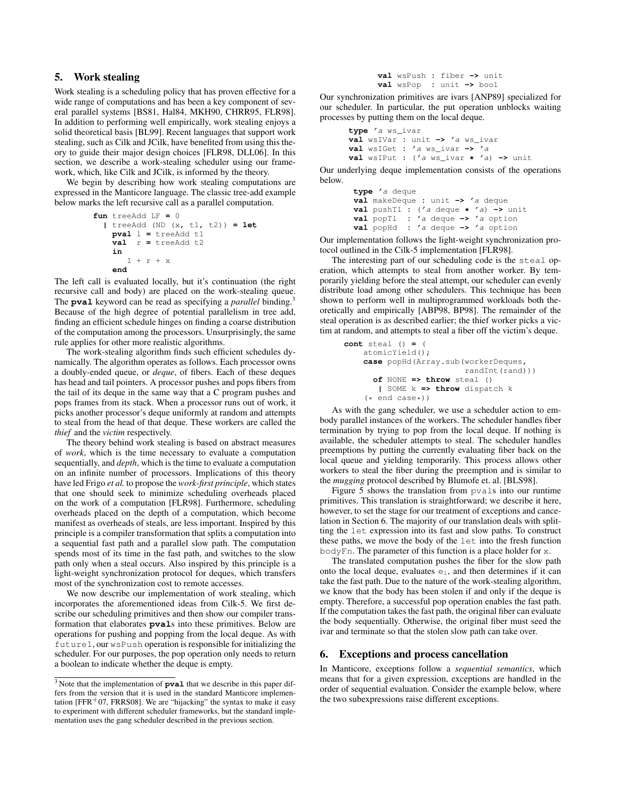# 5. Work stealing

Work stealing is a scheduling policy that has proven effective for a wide range of computations and has been a key component of several parallel systems [BS81, Hal84, MKH90, CHRR95, FLR98]. In addition to performing well empirically, work stealing enjoys a solid theoretical basis [BL99]. Recent languages that support work stealing, such as Cilk and JCilk, have benefited from using this theory to guide their major design choices [FLR98, DLL06]. In this section, we describe a work-stealing scheduler using our framework, which, like Cilk and JCilk, is informed by the theory.

We begin by describing how work stealing computations are expressed in the Manticore language. The classic tree-add example below marks the left recursive call as a parallel computation.

```
fun treeAdd LF = 0
  | treeAdd (ND (x, t1, t2)) = let
    pval l = treeAdd t1
    val r = treeAdd t2
    in
       l + r + x
    end
```
The left call is evaluated locally, but it's continuation (the right recursive call and body) are placed on the work-stealing queue. The **pval** keyword can be read as specifying a *parallel* binding.<sup>3</sup> Because of the high degree of potential parallelism in tree add, finding an efficient schedule hinges on finding a coarse distribution of the computation among the processors. Unsurprisingly, the same rule applies for other more realistic algorithms.

The work-stealing algorithm finds such efficient schedules dynamically. The algorithm operates as follows. Each processor owns a doubly-ended queue, or *deque*, of fibers. Each of these deques has head and tail pointers. A processor pushes and pops fibers from the tail of its deque in the same way that a C program pushes and pops frames from its stack. When a processor runs out of work, it picks another processor's deque uniformly at random and attempts to steal from the head of that deque. These workers are called the *thief* and the *victim* respectively.

The theory behind work stealing is based on abstract measures of *work*, which is the time necessary to evaluate a computation sequentially, and *depth*, which is the time to evaluate a computation on an infinite number of processors. Implications of this theory have led Frigo *et al.* to propose the *work-first principle*, which states that one should seek to minimize scheduling overheads placed on the work of a computation [FLR98]. Furthermore, scheduling overheads placed on the depth of a computation, which become manifest as overheads of steals, are less important. Inspired by this principle is a compiler transformation that splits a computation into a sequential fast path and a parallel slow path. The computation spends most of its time in the fast path, and switches to the slow path only when a steal occurs. Also inspired by this principle is a light-weight synchronization protocol for deques, which transfers most of the synchronization cost to remote accesses.

We now describe our implementation of work stealing, which incorporates the aforementioned ideas from Cilk-5. We first describe our scheduling primitives and then show our compiler transformation that elaborates **pval**s into these primitives. Below are operations for pushing and popping from the local deque. As with future1, our wsPush operation is responsible for initializing the scheduler. For our purposes, the pop operation only needs to return a boolean to indicate whether the deque is empty.

```
val wsPush : fiber -> unit
val wsPop : unit -> bool
```
Our synchronization primitives are ivars [ANP89] specialized for our scheduler. In particular, the put operation unblocks waiting processes by putting them on the local deque.

```
type 'a ws_ivar
val wsIVar : unit -> 'a ws_ivar
val wsIGet : 'a ws_ivar -> 'a
val wsIPut : ('a ws_ivar * 'a) -> unit
```
Our underlying deque implementation consists of the operations below.

```
type 'a deque
val makeDeque : unit -> 'a deque
val pushTl : ('a deque * 'a) -> unit
val popTl : 'a deque -> 'a option
val popHd : 'a deque -> 'a option
```
Our implementation follows the light-weight synchronization protocol outlined in the Cilk-5 implementation [FLR98].

The interesting part of our scheduling code is the steal operation, which attempts to steal from another worker. By temporarily yielding before the steal attempt, our scheduler can evenly distribute load among other schedulers. This technique has been shown to perform well in multiprogrammed workloads both theoretically and empirically [ABP98, BP98]. The remainder of the steal operation is as described earlier; the thief worker picks a victim at random, and attempts to steal a fiber off the victim's deque.

```
cont steal () = (
    atomicYield();
    case popHd(Array.sub(workerDeques,
                         randInt(rand)))
      of NONE => throw steal ()
      | SOME k => throw dispatch k
    (* end case*))
```
As with the gang scheduler, we use a scheduler action to embody parallel instances of the workers. The scheduler handles fiber termination by trying to pop from the local deque. If nothing is available, the scheduler attempts to steal. The scheduler handles preemptions by putting the currently evaluating fiber back on the local queue and yielding temporarily. This process allows other workers to steal the fiber during the preemption and is similar to the *mugging* protocol described by Blumofe et. al. [BLS98].

Figure 5 shows the translation from pvals into our runtime primitives. This translation is straightforward; we describe it here, however, to set the stage for our treatment of exceptions and cancelation in Section 6. The majority of our translation deals with splitting the let expression into its fast and slow paths. To construct these paths, we move the body of the let into the fresh function bodyFn. The parameter of this function is a place holder for x.

The translated computation pushes the fiber for the slow path onto the local deque, evaluates  $e_1$ , and then determines if it can take the fast path. Due to the nature of the work-stealing algorithm, we know that the body has been stolen if and only if the deque is empty. Therefore, a successful pop operation enables the fast path. If the computation takes the fast path, the original fiber can evaluate the body sequentially. Otherwise, the original fiber must seed the ivar and terminate so that the stolen slow path can take over.

# 6. Exceptions and process cancellation

In Manticore, exceptions follow a *sequential semantics*, which means that for a given expression, exceptions are handled in the order of sequential evaluation. Consider the example below, where the two subexpressions raise different exceptions.

<sup>3</sup> Note that the implementation of **pval** that we describe in this paper differs from the version that it is used in the standard Manticore implementation [FFR+07, FRRS08]. We are "hijacking" the syntax to make it easy to experiment with different scheduler frameworks, but the standard implementation uses the gang scheduler described in the previous section.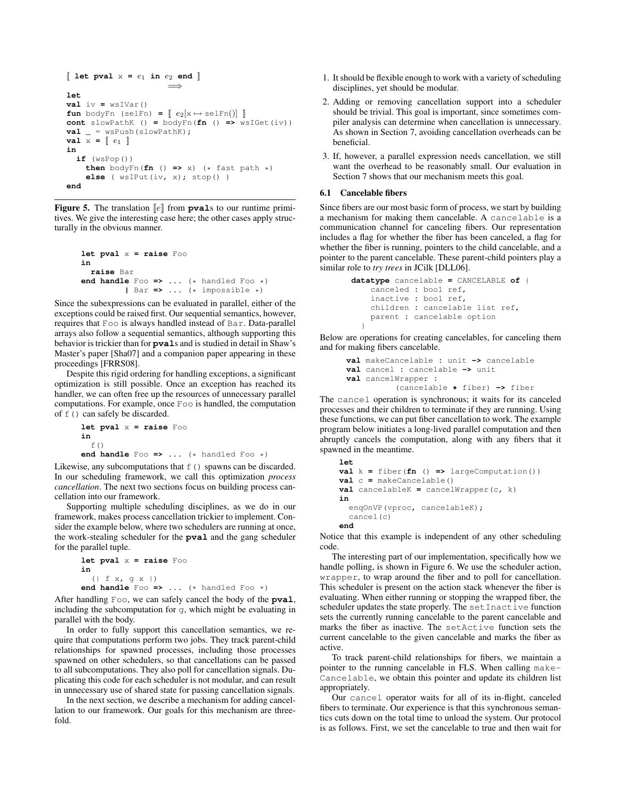```
\begin{bmatrix} \text{let } \text{pval} \times = e_1 \text{ in } e_2 \text{ end} \end{bmatrix}=⇒
let
val iv = wslVar()fun bodyFn (selFn) = [e_2(x \mapsto \text{selfn})]cont slowPathK () = bodyFn(fn () => wsIGet(iv))
val = wsPush(slowPathK);val x = \begin{bmatrix} e_1 \end{bmatrix}in
  if (wsPop())
     then bodyFn(fn () \Rightarrow x) (* fast path *)
     else ( wsIPut(iv, x); stop() )
end
```
**Figure 5.** The translation  $\llbracket e \rrbracket$  from **pval**s to our runtime primitives. We give the interesting case here; the other cases apply structurally in the obvious manner.

```
let pval x = raise Foo
in
  raise Bar
end handle Foo => ... (* handled Foo *)
         | Bar => ... (* impossible *)
```
Since the subexpressions can be evaluated in parallel, either of the exceptions could be raised first. Our sequential semantics, however, requires that Foo is always handled instead of Bar. Data-parallel arrays also follow a sequential semantics, although supporting this behavior is trickier than for **pval**s and is studied in detail in Shaw's Master's paper [Sha07] and a companion paper appearing in these proceedings [FRRS08].

Despite this rigid ordering for handling exceptions, a significant optimization is still possible. Once an exception has reached its handler, we can often free up the resources of unnecessary parallel computations. For example, once Foo is handled, the computation of  $f($ ) can safely be discarded.

```
let pval x = raise Foo
in
  f()end handle Foo => ... (* handled Foo *)
```
Likewise, any subcomputations that  $f($ ) spawns can be discarded. In our scheduling framework, we call this optimization *process cancellation*. The next two sections focus on building process cancellation into our framework.

Supporting multiple scheduling disciplines, as we do in our framework, makes process cancellation trickier to implement. Consider the example below, where two schedulers are running at once, the work-stealing scheduler for the **pval** and the gang scheduler for the parallel tuple.

```
let pval x = raise Foo
in
  (| f x, g x |)
end handle Foo => ... (* handled Foo *)
```
After handling Foo, we can safely cancel the body of the **pval**, including the subcomputation for g, which might be evaluating in parallel with the body.

In order to fully support this cancellation semantics, we require that computations perform two jobs. They track parent-child relationships for spawned processes, including those processes spawned on other schedulers, so that cancellations can be passed to all subcomputations. They also poll for cancellation signals. Duplicating this code for each scheduler is not modular, and can result in unnecessary use of shared state for passing cancellation signals.

In the next section, we describe a mechanism for adding cancellation to our framework. Our goals for this mechanism are threefold.

- 1. It should be flexible enough to work with a variety of scheduling disciplines, yet should be modular.
- 2. Adding or removing cancellation support into a scheduler should be trivial. This goal is important, since sometimes compiler analysis can determine when cancellation is unnecessary. As shown in Section 7, avoiding cancellation overheads can be beneficial.
- 3. If, however, a parallel expression needs cancellation, we still want the overhead to be reasonably small. Our evaluation in Section 7 shows that our mechanism meets this goal.

### 6.1 Cancelable fibers

Since fibers are our most basic form of process, we start by building a mechanism for making them cancelable. A cancelable is a communication channel for canceling fibers. Our representation includes a flag for whether the fiber has been canceled, a flag for whether the fiber is running, pointers to the child cancelable, and a pointer to the parent cancelable. These parent-child pointers play a similar role to *try trees* in JCilk [DLL06].

```
datatype cancelable = CANCELABLE of {
    canceled : bool ref,
    inactive : bool ref,
    children : cancelable list ref,
    parent : cancelable option
  }
```
Below are operations for creating cancelables, for canceling them and for making fibers cancelable.

```
val makeCancelable : unit -> cancelable
val cancel : cancelable -> unit
val cancelWrapper :
          (cancelable * fiber) -> fiber
```
The cancel operation is synchronous; it waits for its canceled processes and their children to terminate if they are running. Using these functions, we can put fiber cancellation to work. The example program below initiates a long-lived parallel computation and then abruptly cancels the computation, along with any fibers that it spawned in the meantime.

```
let
val k = \text{fiber}(fn) \implies \text{largeComputation}()val c = makeCancelable()
val cancelableK = cancelWrapper(c, k)
in
  engOnVP(vproc, cancelableK);
  cancel(c)
end
```
Notice that this example is independent of any other scheduling code.

The interesting part of our implementation, specifically how we handle polling, is shown in Figure 6. We use the scheduler action, wrapper, to wrap around the fiber and to poll for cancellation. This scheduler is present on the action stack whenever the fiber is evaluating. When either running or stopping the wrapped fiber, the scheduler updates the state properly. The set Inactive function sets the currently running cancelable to the parent cancelable and marks the fiber as inactive. The setActive function sets the current cancelable to the given cancelable and marks the fiber as active.

To track parent-child relationships for fibers, we maintain a pointer to the running cancelable in FLS. When calling make-Cancelable, we obtain this pointer and update its children list appropriately.

Our cancel operator waits for all of its in-flight, canceled fibers to terminate. Our experience is that this synchronous semantics cuts down on the total time to unload the system. Our protocol is as follows. First, we set the cancelable to true and then wait for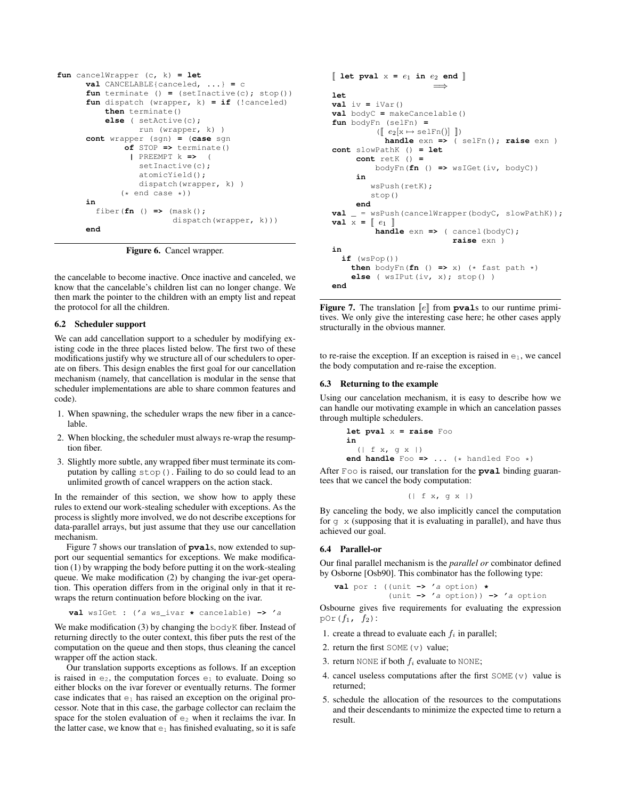```
fun cancelWrapper (c, k) = let
     val CANCELABLE{canceled, ...} = c
      fun terminate () = (setInactive(c); stop())
      fun dispatch (wrapper, k) = if (!canceled)
          then terminate()
          else ( setActive(c);
                 run (wrapper, k) )
      cont wrapper (sgn) = (case sgn
              of STOP => terminate()
               | PREEMPT k => (
                 setInactive(c);
                 atomicYield();
                 dispatch(wrapper, k) )
             (* end case *))
      in
        fiber(fn () => (mask();
                        dispatch(wrapper, k)))
      end
```
Figure 6. Cancel wrapper.

the cancelable to become inactive. Once inactive and canceled, we know that the cancelable's children list can no longer change. We then mark the pointer to the children with an empty list and repeat the protocol for all the children.

### 6.2 Scheduler support

We can add cancellation support to a scheduler by modifying existing code in the three places listed below. The first two of these modifications justify why we structure all of our schedulers to operate on fibers. This design enables the first goal for our cancellation mechanism (namely, that cancellation is modular in the sense that scheduler implementations are able to share common features and code).

- 1. When spawning, the scheduler wraps the new fiber in a cancelable.
- 2. When blocking, the scheduler must always re-wrap the resumption fiber.
- 3. Slightly more subtle, any wrapped fiber must terminate its computation by calling stop(). Failing to do so could lead to an unlimited growth of cancel wrappers on the action stack.

In the remainder of this section, we show how to apply these rules to extend our work-stealing scheduler with exceptions. As the process is slightly more involved, we do not describe exceptions for data-parallel arrays, but just assume that they use our cancellation mechanism.

Figure 7 shows our translation of **pval**s, now extended to support our sequential semantics for exceptions. We make modification (1) by wrapping the body before putting it on the work-stealing queue. We make modification (2) by changing the ivar-get operation. This operation differs from in the original only in that it rewraps the return continuation before blocking on the ivar.

```
val wsIGet : ('a ws_ivar * cancelable) -> 'a
```
We make modification (3) by changing the bodyK fiber. Instead of returning directly to the outer context, this fiber puts the rest of the computation on the queue and then stops, thus cleaning the cancel wrapper off the action stack.

Our translation supports exceptions as follows. If an exception is raised in  $e_2$ , the computation forces  $e_1$  to evaluate. Doing so either blocks on the ivar forever or eventually returns. The former case indicates that  $e_1$  has raised an exception on the original processor. Note that in this case, the garbage collector can reclaim the space for the stolen evaluation of  $e_2$  when it reclaims the ivar. In the latter case, we know that  $e_1$  has finished evaluating, so it is safe

```
\begin{bmatrix} \text{let } \text{pval} \times = e_1 \text{ in } e_2 \text{ end} \end{bmatrix}=⇒
let
val iv = iVar()val bodyC = makeCancelable()
fun bodyFn (selFn) =
           ([e_2[x \mapsto \text{selfn}()]]
             handle exn => ( selFn(); raise exn )
cont slowPathK () = let
      cont retK () =
           bodyFn(fn () => wsIGet(iv, bodyC))
      in
         wsPush(retK);
         stop()
      end
val _ = wsPush(cancelWrapper(bodyC, slowPathK));
val x = [e_1]handle exn => ( cancel(bodyC);
                              raise exn )
in
  if (wsPop())
    then bodyFn(fn () \Rightarrow x) (* fast path *)
    else ( wsIPut(iv, x); stop() )
end
```
**Figure 7.** The translation  $\llbracket e \rrbracket$  from **pval**s to our runtime primitives. We only give the interesting case here; he other cases apply structurally in the obvious manner.

to re-raise the exception. If an exception is raised in  $e_1$ , we cancel the body computation and re-raise the exception.

### 6.3 Returning to the example

Using our cancelation mechanism, it is easy to describe how we can handle our motivating example in which an cancelation passes through multiple schedulers.

```
let pval x = raise Foo
in
  (| f x, g x |)
end handle Foo => ... (* handled Foo *)
```
After Foo is raised, our translation for the **pval** binding guarantees that we cancel the body computation:

(| f x, g x |)

By canceling the body, we also implicitly cancel the computation for  $g \times$  (supposing that it is evaluating in parallel), and have thus achieved our goal.

### 6.4 Parallel-or

Our final parallel mechanism is the *parallel or* combinator defined by Osborne [Osb90]. This combinator has the following type:

**val** por **:** ((unit **->** 'a option) **\*** (unit **->** 'a option)) **->** 'a option

Osbourne gives five requirements for evaluating the expression pOr $(f_1, f_2)$ :

- 1. create a thread to evaluate each  $f_i$  in parallel;
- 2. return the first SOME  $(v)$  value;
- 3. return NONE if both  $f_i$  evaluate to NONE;
- 4. cancel useless computations after the first  $SOME (v)$  value is returned;
- 5. schedule the allocation of the resources to the computations and their descendants to minimize the expected time to return a result.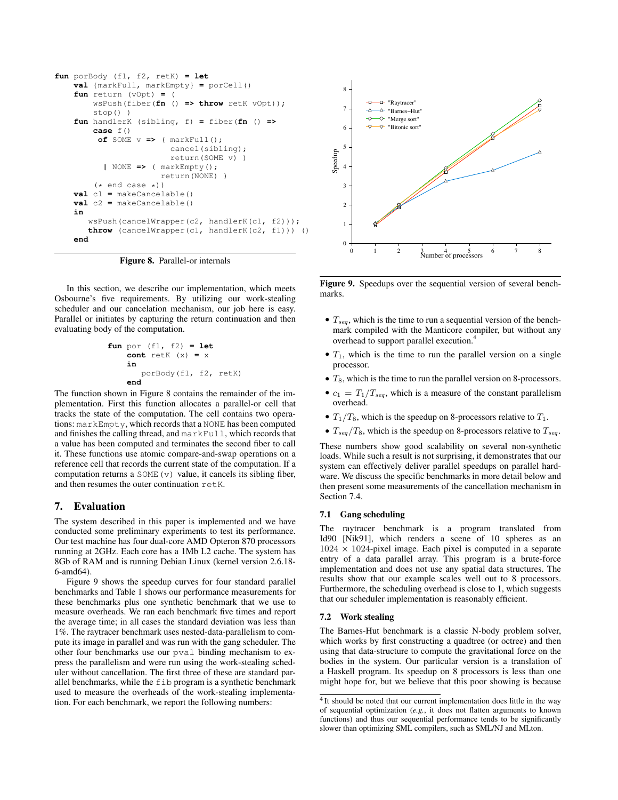```
fun porBody (f1, f2, retK) = let
    val {markFull, markEmpty} = porCell()
    fun return (vOpt) = (
        wsPush(fiber(fn () => throw retK vOpt));
        stop() )
    fun handlerK (sibling, f) = fiber(fn () =>
        case f()
         of SOME v => ( markFull();
                        cancel(sibling);
                        return(SOME v) )
          | NONE => ( markEmpty();
                      return(NONE) )
        (* end case *))
   val c1 = makeCancelable()
    val c2 = makeCancelable()
   in
       wsPush(cancelWrapper(c2, handlerK(c1, f2)));
       throw (cancelWrapper(c1, handlerK(c2, f1))) ()
    end
```
Figure 8. Parallel-or internals

In this section, we describe our implementation, which meets Osbourne's five requirements. By utilizing our work-stealing scheduler and our cancelation mechanism, our job here is easy. Parallel or initiates by capturing the return continuation and then evaluating body of the computation.

```
\n
$$
\text{fun por (f1, f2) = \text{let}\n \quad \text{cont retK (x) = x}\n \quad \text{in}\n \quad \text{porBody(f1, f2, retK)}
$$
\n $\text{end}$ \n
```

The function shown in Figure 8 contains the remainder of the implementation. First this function allocates a parallel-or cell that tracks the state of the computation. The cell contains two operations: markEmpty, which records that a NONE has been computed and finishes the calling thread, and markFull, which records that a value has been computed and terminates the second fiber to call it. These functions use atomic compare-and-swap operations on a reference cell that records the current state of the computation. If a computation returns a SOME  $(v)$  value, it cancels its sibling fiber, and then resumes the outer continuation retK.

# 7. Evaluation

The system described in this paper is implemented and we have conducted some preliminary experiments to test its performance. Our test machine has four dual-core AMD Opteron 870 processors running at 2GHz. Each core has a 1Mb L2 cache. The system has 8Gb of RAM and is running Debian Linux (kernel version 2.6.18- 6-amd64).

Figure 9 shows the speedup curves for four standard parallel benchmarks and Table 1 shows our performance measurements for these benchmarks plus one synthetic benchmark that we use to measure overheads. We ran each benchmark five times and report the average time; in all cases the standard deviation was less than 1%. The raytracer benchmark uses nested-data-parallelism to compute its image in parallel and was run with the gang scheduler. The other four benchmarks use our pval binding mechanism to express the parallelism and were run using the work-stealing scheduler without cancellation. The first three of these are standard parallel benchmarks, while the fib program is a synthetic benchmark used to measure the overheads of the work-stealing implementation. For each benchmark, we report the following numbers:



Figure 9. Speedups over the sequential version of several benchmarks.

- $T_{seq}$ , which is the time to run a sequential version of the benchmark compiled with the Manticore compiler, but without any overhead to support parallel execution.<sup>4</sup>
- $T_1$ , which is the time to run the parallel version on a single processor.
- $T_8$ , which is the time to run the parallel version on 8-processors.
- $c_1 = T_1/T_{\text{seq}}$ , which is a measure of the constant parallelism overhead.
- $T_1/T_8$ , which is the speedup on 8-processors relative to  $T_1$ .
- $T_{seq}/T_8$ , which is the speedup on 8-processors relative to  $T_{seq}$ .

These numbers show good scalability on several non-synthetic loads. While such a result is not surprising, it demonstrates that our system can effectively deliver parallel speedups on parallel hardware. We discuss the specific benchmarks in more detail below and then present some measurements of the cancellation mechanism in Section 7.4.

### 7.1 Gang scheduling

The raytracer benchmark is a program translated from Id90 [Nik91], which renders a scene of 10 spheres as an  $1024 \times 1024$ -pixel image. Each pixel is computed in a separate entry of a data parallel array. This program is a brute-force implementation and does not use any spatial data structures. The results show that our example scales well out to 8 processors. Furthermore, the scheduling overhead is close to 1, which suggests that our scheduler implementation is reasonably efficient.

### 7.2 Work stealing

The Barnes-Hut benchmark is a classic N-body problem solver, which works by first constructing a quadtree (or octree) and then using that data-structure to compute the gravitational force on the bodies in the system. Our particular version is a translation of a Haskell program. Its speedup on 8 processors is less than one might hope for, but we believe that this poor showing is because

<sup>&</sup>lt;sup>4</sup> It should be noted that our current implementation does little in the way of sequential optimization (*e.g.*, it does not flatten arguments to known functions) and thus our sequential performance tends to be significantly slower than optimizing SML compilers, such as SML/NJ and MLton.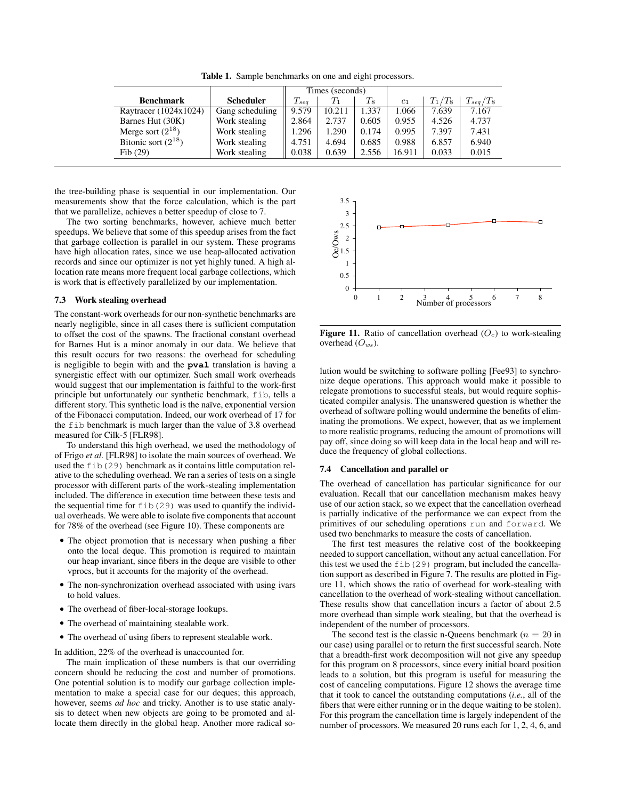Table 1. Sample benchmarks on one and eight processors.

|                         |                  | Times (seconds)  |        |       |                |           |               |
|-------------------------|------------------|------------------|--------|-------|----------------|-----------|---------------|
| <b>Benchmark</b>        | <b>Scheduler</b> | T<br>$\perp$ seq |        | $T_8$ | c <sub>1</sub> | $T_1/T_8$ | $T_{seq}/T_8$ |
| Raytracer (1024x1024)   | Gang scheduling  | 9.579            | 10.211 | 1.337 | 1.066          | 7.639     | 7.167         |
| Barnes Hut (30K)        | Work stealing    | 2.864            | 2.737  | 0.605 | 0.955          | 4.526     | 4.737         |
| Merge sort $(2^{18})$   | Work stealing    | 1.296            | 1.290  | 0.174 | 0.995          | 7.397     | 7.431         |
| Bitonic sort $(2^{18})$ | Work stealing    | 4.751            | 4.694  | 0.685 | 0.988          | 6.857     | 6.940         |
| Fib(29)                 | Work stealing    | 0.038            | 0.639  | 2.556 | 16.911         | 0.033     | 0.015         |

the tree-building phase is sequential in our implementation. Our measurements show that the force calculation, which is the part that we parallelize, achieves a better speedup of close to 7.

The two sorting benchmarks, however, achieve much better speedups. We believe that some of this speedup arises from the fact that garbage collection is parallel in our system. These programs have high allocation rates, since we use heap-allocated activation records and since our optimizer is not yet highly tuned. A high allocation rate means more frequent local garbage collections, which is work that is effectively parallelized by our implementation.

### 7.3 Work stealing overhead

The constant-work overheads for our non-synthetic benchmarks are nearly negligible, since in all cases there is sufficient computation to offset the cost of the spawns. The fractional constant overhead for Barnes Hut is a minor anomaly in our data. We believe that this result occurs for two reasons: the overhead for scheduling is negligible to begin with and the **pval** translation is having a synergistic effect with our optimizer. Such small work overheads would suggest that our implementation is faithful to the work-first principle but unfortunately our synthetic benchmark, fib, tells a different story. This synthetic load is the naïve, exponential version of the Fibonacci computation. Indeed, our work overhead of 17 for the fib benchmark is much larger than the value of 3.8 overhead measured for Cilk-5 [FLR98].

To understand this high overhead, we used the methodology of of Frigo *et al.* [FLR98] to isolate the main sources of overhead. We used the fib(29) benchmark as it contains little computation relative to the scheduling overhead. We ran a series of tests on a single processor with different parts of the work-stealing implementation included. The difference in execution time between these tests and the sequential time for  $fib(29)$  was used to quantify the individual overheads. We were able to isolate five components that account for 78% of the overhead (see Figure 10). These components are

- The object promotion that is necessary when pushing a fiber onto the local deque. This promotion is required to maintain our heap invariant, since fibers in the deque are visible to other vprocs, but it accounts for the majority of the overhead.
- The non-synchronization overhead associated with using ivars to hold values.
- The overhead of fiber-local-storage lookups.
- The overhead of maintaining stealable work.
- The overhead of using fibers to represent stealable work.

In addition, 22% of the overhead is unaccounted for.

The main implication of these numbers is that our overriding concern should be reducing the cost and number of promotions. One potential solution is to modify our garbage collection implementation to make a special case for our deques; this approach, however, seems *ad hoc* and tricky. Another is to use static analysis to detect when new objects are going to be promoted and allocate them directly in the global heap. Another more radical so-



**Figure 11.** Ratio of cancellation overhead  $(O<sub>c</sub>)$  to work-stealing overhead  $(O_{ws})$ .

lution would be switching to software polling [Fee93] to synchronize deque operations. This approach would make it possible to relegate promotions to successful steals, but would require sophisticated compiler analysis. The unanswered question is whether the overhead of software polling would undermine the benefits of eliminating the promotions. We expect, however, that as we implement to more realistic programs, reducing the amount of promotions will pay off, since doing so will keep data in the local heap and will reduce the frequency of global collections.

### 7.4 Cancellation and parallel or

The overhead of cancellation has particular significance for our evaluation. Recall that our cancellation mechanism makes heavy use of our action stack, so we expect that the cancellation overhead is partially indicative of the performance we can expect from the primitives of our scheduling operations run and forward. We used two benchmarks to measure the costs of cancellation.

The first test measures the relative cost of the bookkeeping needed to support cancellation, without any actual cancellation. For this test we used the fib(29) program, but included the cancellation support as described in Figure 7. The results are plotted in Figure 11, which shows the ratio of overhead for work-stealing with cancellation to the overhead of work-stealing without cancellation. These results show that cancellation incurs a factor of about 2.5 more overhead than simple work stealing, but that the overhead is independent of the number of processors.

The second test is the classic n-Queens benchmark ( $n = 20$  in our case) using parallel or to return the first successful search. Note that a breadth-first work decomposition will not give any speedup for this program on 8 processors, since every initial board position leads to a solution, but this program is useful for measuring the cost of canceling computations. Figure 12 shows the average time that it took to cancel the outstanding computations (*i.e.*, all of the fibers that were either running or in the deque waiting to be stolen). For this program the cancellation time is largely independent of the number of processors. We measured 20 runs each for 1, 2, 4, 6, and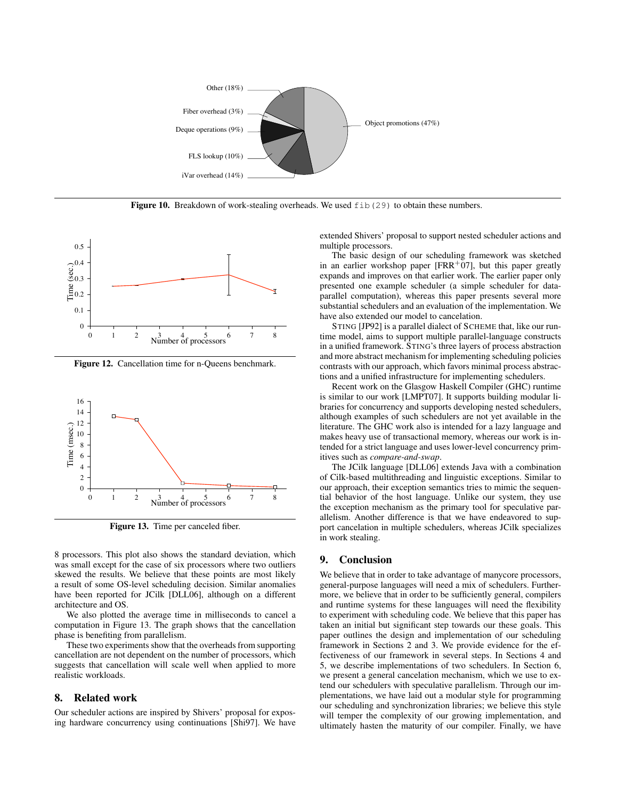

Figure 10. Breakdown of work-stealing overheads. We used  $fib(29)$  to obtain these numbers.



Figure 12. Cancellation time for n-Queens benchmark.



Figure 13. Time per canceled fiber.

8 processors. This plot also shows the standard deviation, which was small except for the case of six processors where two outliers skewed the results. We believe that these points are most likely a result of some OS-level scheduling decision. Similar anomalies have been reported for JCilk [DLL06], although on a different architecture and OS.

We also plotted the average time in milliseconds to cancel a computation in Figure 13. The graph shows that the cancellation phase is benefiting from parallelism.

These two experiments show that the overheads from supporting cancellation are not dependent on the number of processors, which suggests that cancellation will scale well when applied to more realistic workloads.

## 8. Related work

Our scheduler actions are inspired by Shivers' proposal for exposing hardware concurrency using continuations [Shi97]. We have extended Shivers' proposal to support nested scheduler actions and multiple processors.

The basic design of our scheduling framework was sketched in an earlier workshop paper [FRR<sup>+</sup>07], but this paper greatly expands and improves on that earlier work. The earlier paper only presented one example scheduler (a simple scheduler for dataparallel computation), whereas this paper presents several more substantial schedulers and an evaluation of the implementation. We have also extended our model to cancelation.

STING [JP92] is a parallel dialect of SCHEME that, like our runtime model, aims to support multiple parallel-language constructs in a unified framework. STING's three layers of process abstraction and more abstract mechanism for implementing scheduling policies contrasts with our approach, which favors minimal process abstractions and a unified infrastructure for implementing schedulers.

Recent work on the Glasgow Haskell Compiler (GHC) runtime is similar to our work [LMPT07]. It supports building modular libraries for concurrency and supports developing nested schedulers, although examples of such schedulers are not yet available in the literature. The GHC work also is intended for a lazy language and makes heavy use of transactional memory, whereas our work is intended for a strict language and uses lower-level concurrency primitives such as *compare-and-swap*.

The JCilk language [DLL06] extends Java with a combination of Cilk-based multithreading and linguistic exceptions. Similar to our approach, their exception semantics tries to mimic the sequential behavior of the host language. Unlike our system, they use the exception mechanism as the primary tool for speculative parallelism. Another difference is that we have endeavored to support cancelation in multiple schedulers, whereas JCilk specializes in work stealing.

# 9. Conclusion

We believe that in order to take advantage of manycore processors, general-purpose languages will need a mix of schedulers. Furthermore, we believe that in order to be sufficiently general, compilers and runtime systems for these languages will need the flexibility to experiment with scheduling code. We believe that this paper has taken an initial but significant step towards our these goals. This paper outlines the design and implementation of our scheduling framework in Sections 2 and 3. We provide evidence for the effectiveness of our framework in several steps. In Sections 4 and 5, we describe implementations of two schedulers. In Section 6, we present a general cancelation mechanism, which we use to extend our schedulers with speculative parallelism. Through our implementations, we have laid out a modular style for programming our scheduling and synchronization libraries; we believe this style will temper the complexity of our growing implementation, and ultimately hasten the maturity of our compiler. Finally, we have